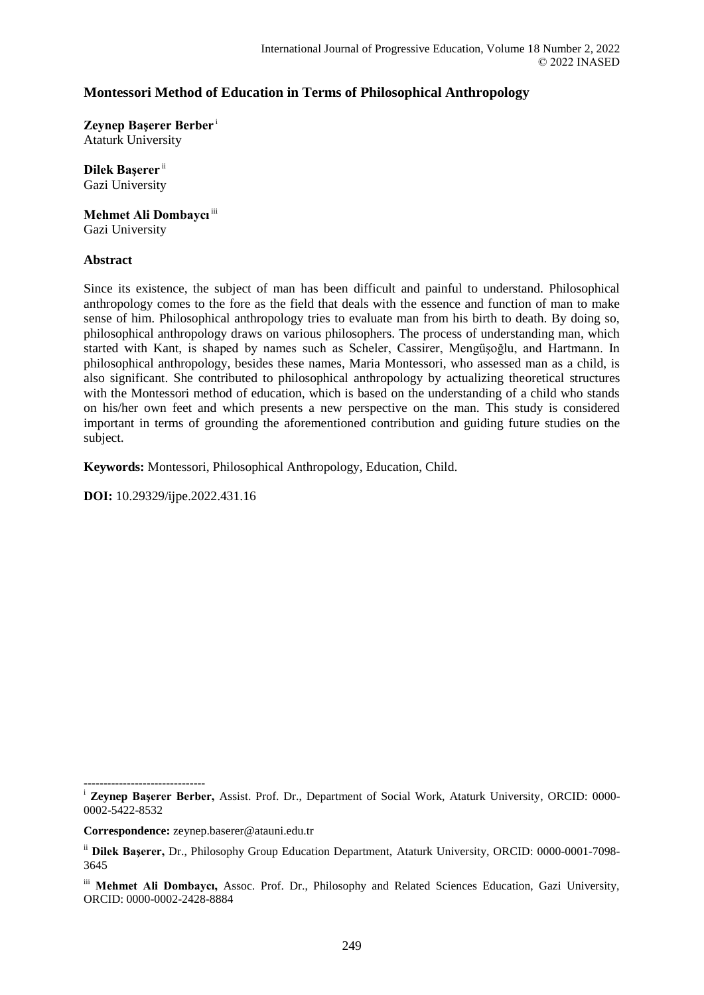# **Montessori Method of Education in Terms of Philosophical Anthropology**

**Zeynep Başerer Berber** <sup>i</sup> Ataturk University

**Dilek Başerer** ii

Gazi University

**Mehmet Ali Dombaycı** iii

Gazi University

### **Abstract**

Since its existence, the subject of man has been difficult and painful to understand. Philosophical anthropology comes to the fore as the field that deals with the essence and function of man to make sense of him. Philosophical anthropology tries to evaluate man from his birth to death. By doing so, philosophical anthropology draws on various philosophers. The process of understanding man, which started with Kant, is shaped by names such as Scheler, Cassirer, Mengüşoğlu, and Hartmann. In philosophical anthropology, besides these names, Maria Montessori, who assessed man as a child, is also significant. She contributed to philosophical anthropology by actualizing theoretical structures with the Montessori method of education, which is based on the understanding of a child who stands on his/her own feet and which presents a new perspective on the man. This study is considered important in terms of grounding the aforementioned contribution and guiding future studies on the subject.

**Keywords:** Montessori, Philosophical Anthropology, Education, Child.

**DOI:** 10.29329/ijpe.2022.431.16

**Correspondence:** zeynep.baserer@atauni.edu.tr

<sup>-------------------------------</sup> <sup>i</sup> Zeynep Başerer Berber, Assist. Prof. Dr., Department of Social Work, Ataturk University, ORCID: 0000-0002-5422-8532

ii **Dilek Başerer,** Dr., Philosophy Group Education Department, Ataturk University, ORCID: 0000-0001-7098- 3645

iii **Mehmet Ali Dombaycı,** Assoc. Prof. Dr., Philosophy and Related Sciences Education, Gazi University, ORCID: 0000-0002-2428-8884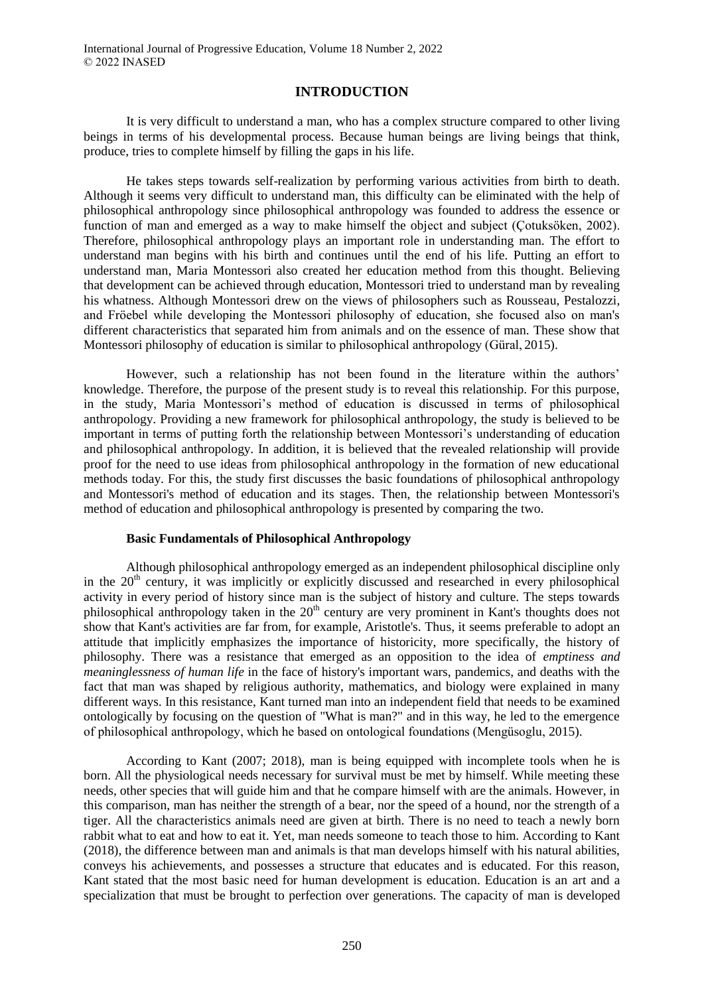## **INTRODUCTION**

It is very difficult to understand a man, who has a complex structure compared to other living beings in terms of his developmental process. Because human beings are living beings that think, produce, tries to complete himself by filling the gaps in his life.

He takes steps towards self-realization by performing various activities from birth to death. Although it seems very difficult to understand man, this difficulty can be eliminated with the help of philosophical anthropology since philosophical anthropology was founded to address the essence or function of man and emerged as a way to make himself the object and subject (Çotuksöken, 2002). Therefore, philosophical anthropology plays an important role in understanding man. The effort to understand man begins with his birth and continues until the end of his life. Putting an effort to understand man, Maria Montessori also created her education method from this thought. Believing that development can be achieved through education, Montessori tried to understand man by revealing his whatness. Although Montessori drew on the views of philosophers such as Rousseau, Pestalozzi, and Fröebel while developing the Montessori philosophy of education, she focused also on man's different characteristics that separated him from animals and on the essence of man. These show that Montessori philosophy of education is similar to philosophical anthropology (Güral, 2015).

However, such a relationship has not been found in the literature within the authors' knowledge. Therefore, the purpose of the present study is to reveal this relationship. For this purpose, in the study, Maria Montessori's method of education is discussed in terms of philosophical anthropology. Providing a new framework for philosophical anthropology, the study is believed to be important in terms of putting forth the relationship between Montessori's understanding of education and philosophical anthropology. In addition, it is believed that the revealed relationship will provide proof for the need to use ideas from philosophical anthropology in the formation of new educational methods today. For this, the study first discusses the basic foundations of philosophical anthropology and Montessori's method of education and its stages. Then, the relationship between Montessori's method of education and philosophical anthropology is presented by comparing the two.

## **Basic Fundamentals of Philosophical Anthropology**

Although philosophical anthropology emerged as an independent philosophical discipline only in the  $20<sup>th</sup>$  century, it was implicitly or explicitly discussed and researched in every philosophical activity in every period of history since man is the subject of history and culture. The steps towards philosophical anthropology taken in the 20<sup>th</sup> century are very prominent in Kant's thoughts does not show that Kant's activities are far from, for example, Aristotle's. Thus, it seems preferable to adopt an attitude that implicitly emphasizes the importance of historicity, more specifically, the history of philosophy. There was a resistance that emerged as an opposition to the idea of *emptiness and meaninglessness of human life* in the face of history's important wars, pandemics, and deaths with the fact that man was shaped by religious authority, mathematics, and biology were explained in many different ways. In this resistance, Kant turned man into an independent field that needs to be examined ontologically by focusing on the question of "What is man?" and in this way, he led to the emergence of philosophical anthropology, which he based on ontological foundations (Mengüsoglu, 2015).

According to Kant (2007; 2018), man is being equipped with incomplete tools when he is born. All the physiological needs necessary for survival must be met by himself. While meeting these needs, other species that will guide him and that he compare himself with are the animals. However, in this comparison, man has neither the strength of a bear, nor the speed of a hound, nor the strength of a tiger. All the characteristics animals need are given at birth. There is no need to teach a newly born rabbit what to eat and how to eat it. Yet, man needs someone to teach those to him. According to Kant (2018), the difference between man and animals is that man develops himself with his natural abilities, conveys his achievements, and possesses a structure that educates and is educated. For this reason, Kant stated that the most basic need for human development is education. Education is an art and a specialization that must be brought to perfection over generations. The capacity of man is developed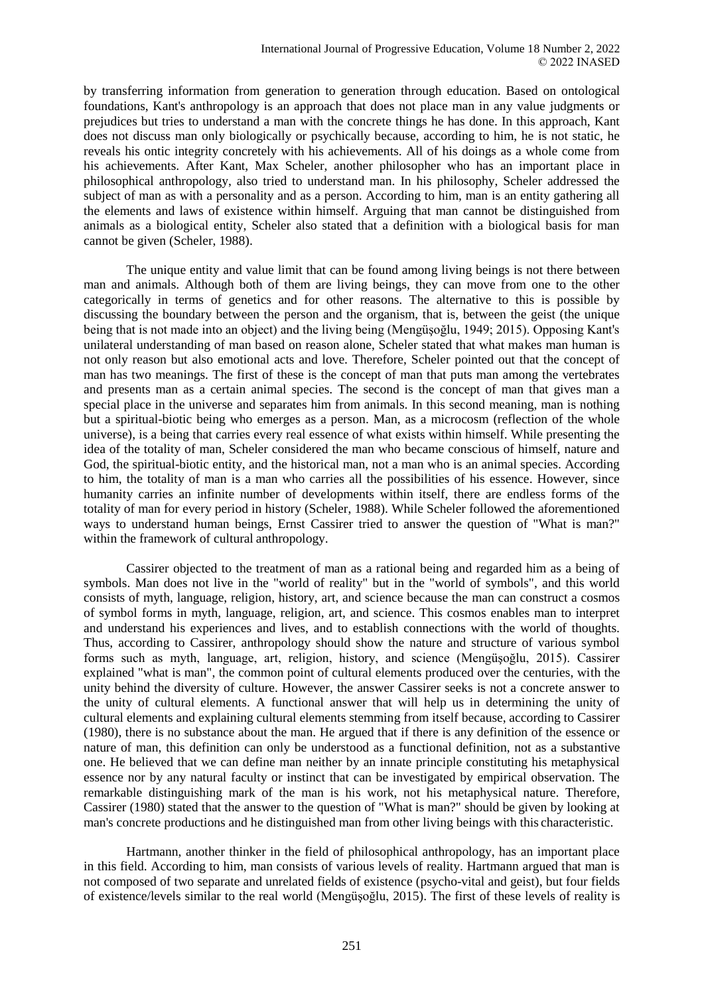by transferring information from generation to generation through education. Based on ontological foundations, Kant's anthropology is an approach that does not place man in any value judgments or prejudices but tries to understand a man with the concrete things he has done. In this approach, Kant does not discuss man only biologically or psychically because, according to him, he is not static, he reveals his ontic integrity concretely with his achievements. All of his doings as a whole come from his achievements. After Kant, Max Scheler, another philosopher who has an important place in philosophical anthropology, also tried to understand man. In his philosophy, Scheler addressed the subject of man as with a personality and as a person. According to him, man is an entity gathering all the elements and laws of existence within himself. Arguing that man cannot be distinguished from animals as a biological entity, Scheler also stated that a definition with a biological basis for man cannot be given (Scheler, 1988).

The unique entity and value limit that can be found among living beings is not there between man and animals. Although both of them are living beings, they can move from one to the other categorically in terms of genetics and for other reasons. The alternative to this is possible by discussing the boundary between the person and the organism, that is, between the geist (the unique being that is not made into an object) and the living being (Mengüşoğlu, 1949; 2015). Opposing Kant's unilateral understanding of man based on reason alone, Scheler stated that what makes man human is not only reason but also emotional acts and love. Therefore, Scheler pointed out that the concept of man has two meanings. The first of these is the concept of man that puts man among the vertebrates and presents man as a certain animal species. The second is the concept of man that gives man a special place in the universe and separates him from animals. In this second meaning, man is nothing but a spiritual-biotic being who emerges as a person. Man, as a microcosm (reflection of the whole universe), is a being that carries every real essence of what exists within himself. While presenting the idea of the totality of man, Scheler considered the man who became conscious of himself, nature and God, the spiritual-biotic entity, and the historical man, not a man who is an animal species. According to him, the totality of man is a man who carries all the possibilities of his essence. However, since humanity carries an infinite number of developments within itself, there are endless forms of the totality of man for every period in history (Scheler, 1988). While Scheler followed the aforementioned ways to understand human beings, Ernst Cassirer tried to answer the question of "What is man?" within the framework of cultural anthropology.

Cassirer objected to the treatment of man as a rational being and regarded him as a being of symbols. Man does not live in the "world of reality" but in the "world of symbols", and this world consists of myth, language, religion, history, art, and science because the man can construct a cosmos of symbol forms in myth, language, religion, art, and science. This cosmos enables man to interpret and understand his experiences and lives, and to establish connections with the world of thoughts. Thus, according to Cassirer, anthropology should show the nature and structure of various symbol forms such as myth, language, art, religion, history, and science (Mengüşoğlu, 2015). Cassirer explained "what is man", the common point of cultural elements produced over the centuries, with the unity behind the diversity of culture. However, the answer Cassirer seeks is not a concrete answer to the unity of cultural elements. A functional answer that will help us in determining the unity of cultural elements and explaining cultural elements stemming from itself because, according to Cassirer (1980), there is no substance about the man. He argued that if there is any definition of the essence or nature of man, this definition can only be understood as a functional definition, not as a substantive one. He believed that we can define man neither by an innate principle constituting his metaphysical essence nor by any natural faculty or instinct that can be investigated by empirical observation. The remarkable distinguishing mark of the man is his work, not his metaphysical nature. Therefore, Cassirer (1980) stated that the answer to the question of "What is man?" should be given by looking at man's concrete productions and he distinguished man from other living beings with this characteristic.

Hartmann, another thinker in the field of philosophical anthropology, has an important place in this field. According to him, man consists of various levels of reality. Hartmann argued that man is not composed of two separate and unrelated fields of existence (psycho-vital and geist), but four fields of existence/levels similar to the real world (Mengüşoğlu, 2015). The first of these levels of reality is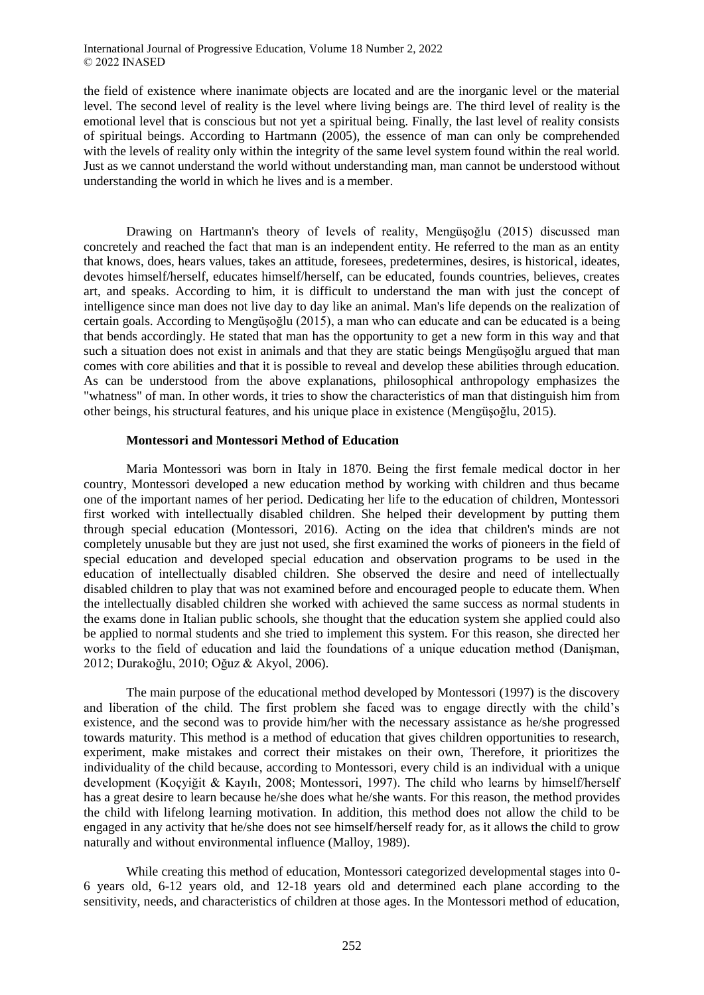International Journal of Progressive Education, Volume 18 Number 2, 2022 © 2022 INASED

the field of existence where inanimate objects are located and are the inorganic level or the material level. The second level of reality is the level where living beings are. The third level of reality is the emotional level that is conscious but not yet a spiritual being. Finally, the last level of reality consists of spiritual beings. According to Hartmann (2005), the essence of man can only be comprehended with the levels of reality only within the integrity of the same level system found within the real world. Just as we cannot understand the world without understanding man, man cannot be understood without understanding the world in which he lives and is a member.

Drawing on Hartmann's theory of levels of reality, Mengüşoğlu (2015) discussed man concretely and reached the fact that man is an independent entity. He referred to the man as an entity that knows, does, hears values, takes an attitude, foresees, predetermines, desires, is historical, ideates, devotes himself/herself, educates himself/herself, can be educated, founds countries, believes, creates art, and speaks. According to him, it is difficult to understand the man with just the concept of intelligence since man does not live day to day like an animal. Man's life depends on the realization of certain goals. According to Mengüşoğlu (2015), a man who can educate and can be educated is a being that bends accordingly. He stated that man has the opportunity to get a new form in this way and that such a situation does not exist in animals and that they are static beings Mengüşoğlu argued that man comes with core abilities and that it is possible to reveal and develop these abilities through education. As can be understood from the above explanations, philosophical anthropology emphasizes the "whatness" of man. In other words, it tries to show the characteristics of man that distinguish him from other beings, his structural features, and his unique place in existence (Mengüşoğlu, 2015).

#### **Montessori and Montessori Method of Education**

Maria Montessori was born in Italy in 1870. Being the first female medical doctor in her country, Montessori developed a new education method by working with children and thus became one of the important names of her period. Dedicating her life to the education of children, Montessori first worked with intellectually disabled children. She helped their development by putting them through special education (Montessori, 2016). Acting on the idea that children's minds are not completely unusable but they are just not used, she first examined the works of pioneers in the field of special education and developed special education and observation programs to be used in the education of intellectually disabled children. She observed the desire and need of intellectually disabled children to play that was not examined before and encouraged people to educate them. When the intellectually disabled children she worked with achieved the same success as normal students in the exams done in Italian public schools, she thought that the education system she applied could also be applied to normal students and she tried to implement this system. For this reason, she directed her works to the field of education and laid the foundations of a unique education method (Danişman, 2012; Durakoğlu, 2010; Oğuz & Akyol, 2006).

The main purpose of the educational method developed by Montessori (1997) is the discovery and liberation of the child. The first problem she faced was to engage directly with the child's existence, and the second was to provide him/her with the necessary assistance as he/she progressed towards maturity. This method is a method of education that gives children opportunities to research, experiment, make mistakes and correct their mistakes on their own, Therefore, it prioritizes the individuality of the child because, according to Montessori, every child is an individual with a unique development (Koçyiğit & Kayılı, 2008; Montessori, 1997). The child who learns by himself/herself has a great desire to learn because he/she does what he/she wants. For this reason, the method provides the child with lifelong learning motivation. In addition, this method does not allow the child to be engaged in any activity that he/she does not see himself/herself ready for, as it allows the child to grow naturally and without environmental influence (Malloy, 1989).

While creating this method of education, Montessori categorized developmental stages into 0- 6 years old, 6-12 years old, and 12-18 years old and determined each plane according to the sensitivity, needs, and characteristics of children at those ages. In the Montessori method of education,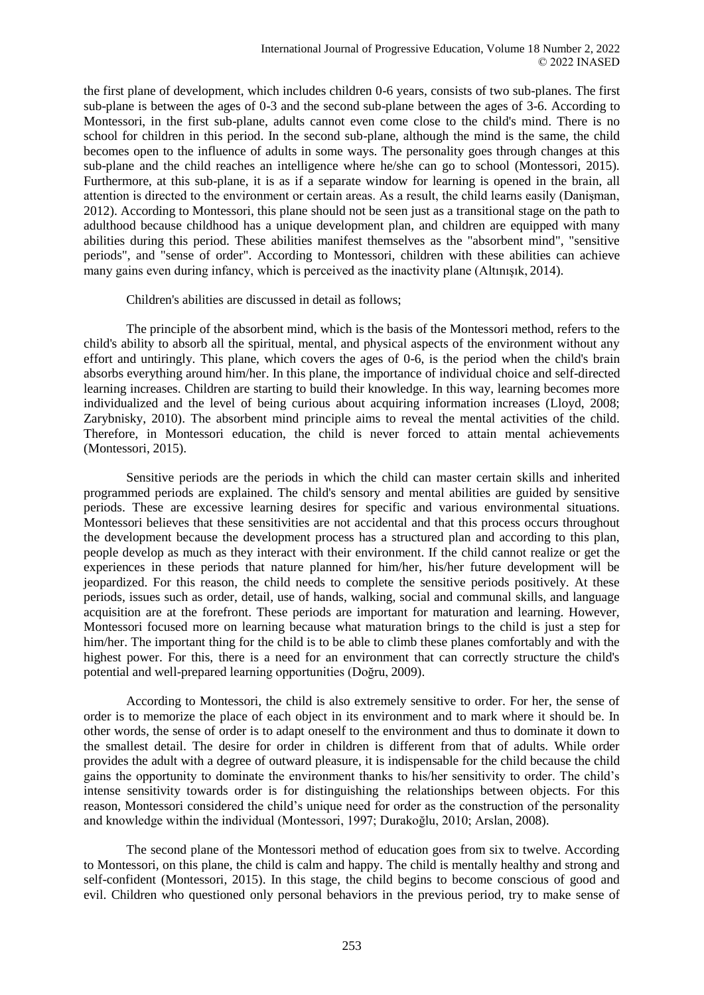the first plane of development, which includes children 0-6 years, consists of two sub-planes. The first sub-plane is between the ages of 0-3 and the second sub-plane between the ages of 3-6. According to Montessori, in the first sub-plane, adults cannot even come close to the child's mind. There is no school for children in this period. In the second sub-plane, although the mind is the same, the child becomes open to the influence of adults in some ways. The personality goes through changes at this sub-plane and the child reaches an intelligence where he/she can go to school (Montessori, 2015). Furthermore, at this sub-plane, it is as if a separate window for learning is opened in the brain, all attention is directed to the environment or certain areas. As a result, the child learns easily (Danişman, 2012). According to Montessori, this plane should not be seen just as a transitional stage on the path to adulthood because childhood has a unique development plan, and children are equipped with many abilities during this period. These abilities manifest themselves as the "absorbent mind", "sensitive periods", and "sense of order". According to Montessori, children with these abilities can achieve many gains even during infancy, which is perceived as the inactivity plane (Altınışık, 2014).

Children's abilities are discussed in detail as follows;

The principle of the absorbent mind, which is the basis of the Montessori method, refers to the child's ability to absorb all the spiritual, mental, and physical aspects of the environment without any effort and untiringly. This plane, which covers the ages of 0-6, is the period when the child's brain absorbs everything around him/her. In this plane, the importance of individual choice and self-directed learning increases. Children are starting to build their knowledge. In this way, learning becomes more individualized and the level of being curious about acquiring information increases (Lloyd, 2008; Zarybnisky, 2010). The absorbent mind principle aims to reveal the mental activities of the child. Therefore, in Montessori education, the child is never forced to attain mental achievements (Montessori, 2015).

Sensitive periods are the periods in which the child can master certain skills and inherited programmed periods are explained. The child's sensory and mental abilities are guided by sensitive periods. These are excessive learning desires for specific and various environmental situations. Montessori believes that these sensitivities are not accidental and that this process occurs throughout the development because the development process has a structured plan and according to this plan, people develop as much as they interact with their environment. If the child cannot realize or get the experiences in these periods that nature planned for him/her, his/her future development will be jeopardized. For this reason, the child needs to complete the sensitive periods positively. At these periods, issues such as order, detail, use of hands, walking, social and communal skills, and language acquisition are at the forefront. These periods are important for maturation and learning. However, Montessori focused more on learning because what maturation brings to the child is just a step for him/her. The important thing for the child is to be able to climb these planes comfortably and with the highest power. For this, there is a need for an environment that can correctly structure the child's potential and well-prepared learning opportunities (Doğru, 2009).

According to Montessori, the child is also extremely sensitive to order. For her, the sense of order is to memorize the place of each object in its environment and to mark where it should be. In other words, the sense of order is to adapt oneself to the environment and thus to dominate it down to the smallest detail. The desire for order in children is different from that of adults. While order provides the adult with a degree of outward pleasure, it is indispensable for the child because the child gains the opportunity to dominate the environment thanks to his/her sensitivity to order. The child's intense sensitivity towards order is for distinguishing the relationships between objects. For this reason, Montessori considered the child's unique need for order as the construction of the personality and knowledge within the individual (Montessori, 1997; Durakoğlu, 2010; Arslan, 2008).

The second plane of the Montessori method of education goes from six to twelve. According to Montessori, on this plane, the child is calm and happy. The child is mentally healthy and strong and self-confident (Montessori, 2015). In this stage, the child begins to become conscious of good and evil. Children who questioned only personal behaviors in the previous period, try to make sense of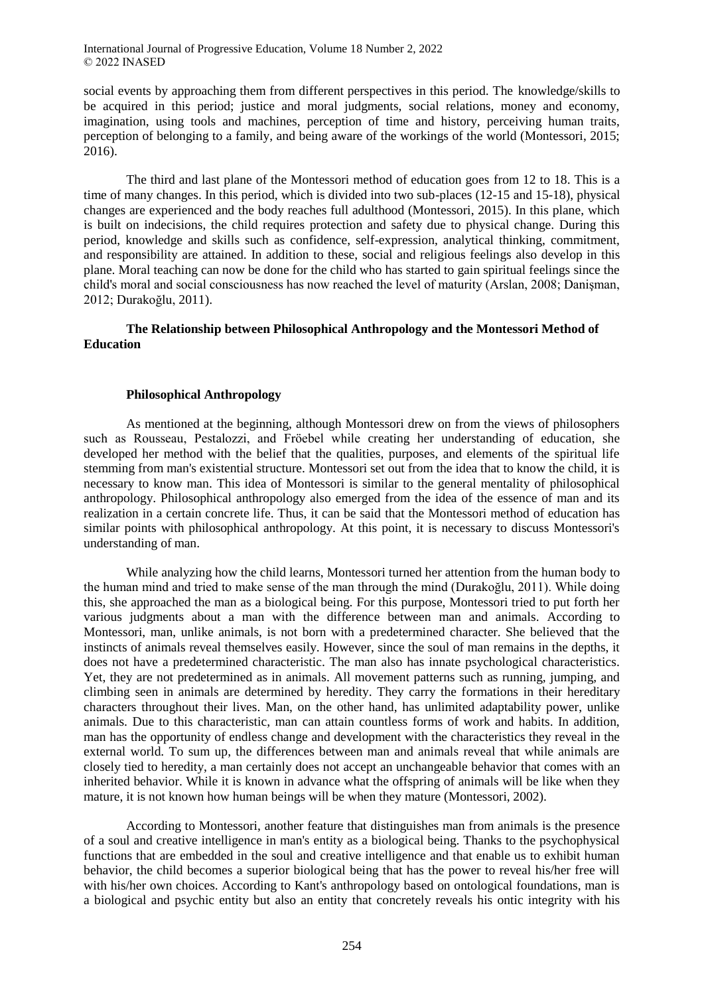International Journal of Progressive Education, Volume 18 Number 2, 2022 © 2022 INASED

social events by approaching them from different perspectives in this period. The knowledge/skills to be acquired in this period; justice and moral judgments, social relations, money and economy, imagination, using tools and machines, perception of time and history, perceiving human traits, perception of belonging to a family, and being aware of the workings of the world (Montessori, 2015;  $2016$ ).

The third and last plane of the Montessori method of education goes from 12 to 18. This is a time of many changes. In this period, which is divided into two sub-places (12-15 and 15-18), physical changes are experienced and the body reaches full adulthood (Montessori, 2015). In this plane, which is built on indecisions, the child requires protection and safety due to physical change. During this period, knowledge and skills such as confidence, self-expression, analytical thinking, commitment, and responsibility are attained. In addition to these, social and religious feelings also develop in this plane. Moral teaching can now be done for the child who has started to gain spiritual feelings since the child's moral and social consciousness has now reached the level of maturity (Arslan, 2008; Danişman, 2012; Durakoğlu, 2011).

## **The Relationship between Philosophical Anthropology and the Montessori Method of Education**

#### **Philosophical Anthropology**

As mentioned at the beginning, although Montessori drew on from the views of philosophers such as Rousseau, Pestalozzi, and Fröebel while creating her understanding of education, she developed her method with the belief that the qualities, purposes, and elements of the spiritual life stemming from man's existential structure. Montessori set out from the idea that to know the child, it is necessary to know man. This idea of Montessori is similar to the general mentality of philosophical anthropology. Philosophical anthropology also emerged from the idea of the essence of man and its realization in a certain concrete life. Thus, it can be said that the Montessori method of education has similar points with philosophical anthropology. At this point, it is necessary to discuss Montessori's understanding of man.

While analyzing how the child learns, Montessori turned her attention from the human body to the human mind and tried to make sense of the man through the mind (Durakoğlu, 2011). While doing this, she approached the man as a biological being. For this purpose, Montessori tried to put forth her various judgments about a man with the difference between man and animals. According to Montessori, man, unlike animals, is not born with a predetermined character. She believed that the instincts of animals reveal themselves easily. However, since the soul of man remains in the depths, it does not have a predetermined characteristic. The man also has innate psychological characteristics. Yet, they are not predetermined as in animals. All movement patterns such as running, jumping, and climbing seen in animals are determined by heredity. They carry the formations in their hereditary characters throughout their lives. Man, on the other hand, has unlimited adaptability power, unlike animals. Due to this characteristic, man can attain countless forms of work and habits. In addition, man has the opportunity of endless change and development with the characteristics they reveal in the external world. To sum up, the differences between man and animals reveal that while animals are closely tied to heredity, a man certainly does not accept an unchangeable behavior that comes with an inherited behavior. While it is known in advance what the offspring of animals will be like when they mature, it is not known how human beings will be when they mature (Montessori, 2002).

According to Montessori, another feature that distinguishes man from animals is the presence of a soul and creative intelligence in man's entity as a biological being. Thanks to the psychophysical functions that are embedded in the soul and creative intelligence and that enable us to exhibit human behavior, the child becomes a superior biological being that has the power to reveal his/her free will with his/her own choices. According to Kant's anthropology based on ontological foundations, man is a biological and psychic entity but also an entity that concretely reveals his ontic integrity with his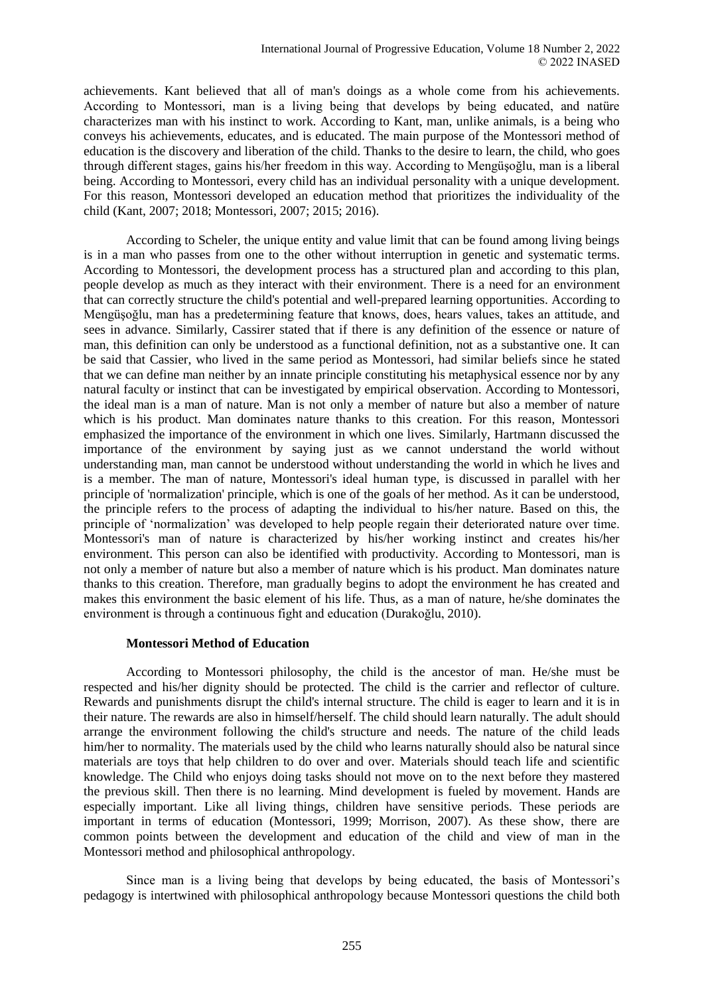achievements. Kant believed that all of man's doings as a whole come from his achievements. According to Montessori, man is a living being that develops by being educated, and natüre characterizes man with his instinct to work. According to Kant, man, unlike animals, is a being who conveys his achievements, educates, and is educated. The main purpose of the Montessori method of education is the discovery and liberation of the child. Thanks to the desire to learn, the child, who goes through different stages, gains his/her freedom in this way. According to Mengüşoğlu, man is a liberal being. According to Montessori, every child has an individual personality with a unique development. For this reason, Montessori developed an education method that prioritizes the individuality of the child (Kant, 2007; 2018; Montessori, 2007; 2015; 2016).

According to Scheler, the unique entity and value limit that can be found among living beings is in a man who passes from one to the other without interruption in genetic and systematic terms. According to Montessori, the development process has a structured plan and according to this plan, people develop as much as they interact with their environment. There is a need for an environment that can correctly structure the child's potential and well-prepared learning opportunities. According to Mengüşoğlu, man has a predetermining feature that knows, does, hears values, takes an attitude, and sees in advance. Similarly, Cassirer stated that if there is any definition of the essence or nature of man, this definition can only be understood as a functional definition, not as a substantive one. It can be said that Cassier, who lived in the same period as Montessori, had similar beliefs since he stated that we can define man neither by an innate principle constituting his metaphysical essence nor by any natural faculty or instinct that can be investigated by empirical observation. According to Montessori, the ideal man is a man of nature. Man is not only a member of nature but also a member of nature which is his product. Man dominates nature thanks to this creation. For this reason, Montessori emphasized the importance of the environment in which one lives. Similarly, Hartmann discussed the importance of the environment by saying just as we cannot understand the world without understanding man, man cannot be understood without understanding the world in which he lives and is a member. The man of nature, Montessori's ideal human type, is discussed in parallel with her principle of 'normalization' principle, which is one of the goals of her method. As it can be understood, the principle refers to the process of adapting the individual to his/her nature. Based on this, the principle of 'normalization' was developed to help people regain their deteriorated nature over time. Montessori's man of nature is characterized by his/her working instinct and creates his/her environment. This person can also be identified with productivity. According to Montessori, man is not only a member of nature but also a member of nature which is his product. Man dominates nature thanks to this creation. Therefore, man gradually begins to adopt the environment he has created and makes this environment the basic element of his life. Thus, as a man of nature, he/she dominates the environment is through a continuous fight and education (Durakoğlu, 2010).

### **Montessori Method of Education**

According to Montessori philosophy, the child is the ancestor of man. He/she must be respected and his/her dignity should be protected. The child is the carrier and reflector of culture. Rewards and punishments disrupt the child's internal structure. The child is eager to learn and it is in their nature. The rewards are also in himself/herself. The child should learn naturally. The adult should arrange the environment following the child's structure and needs. The nature of the child leads him/her to normality. The materials used by the child who learns naturally should also be natural since materials are toys that help children to do over and over. Materials should teach life and scientific knowledge. The Child who enjoys doing tasks should not move on to the next before they mastered the previous skill. Then there is no learning. Mind development is fueled by movement. Hands are especially important. Like all living things, children have sensitive periods. These periods are important in terms of education (Montessori, 1999; Morrison, 2007). As these show, there are common points between the development and education of the child and view of man in the Montessori method and philosophical anthropology.

Since man is a living being that develops by being educated, the basis of Montessori's pedagogy is intertwined with philosophical anthropology because Montessori questions the child both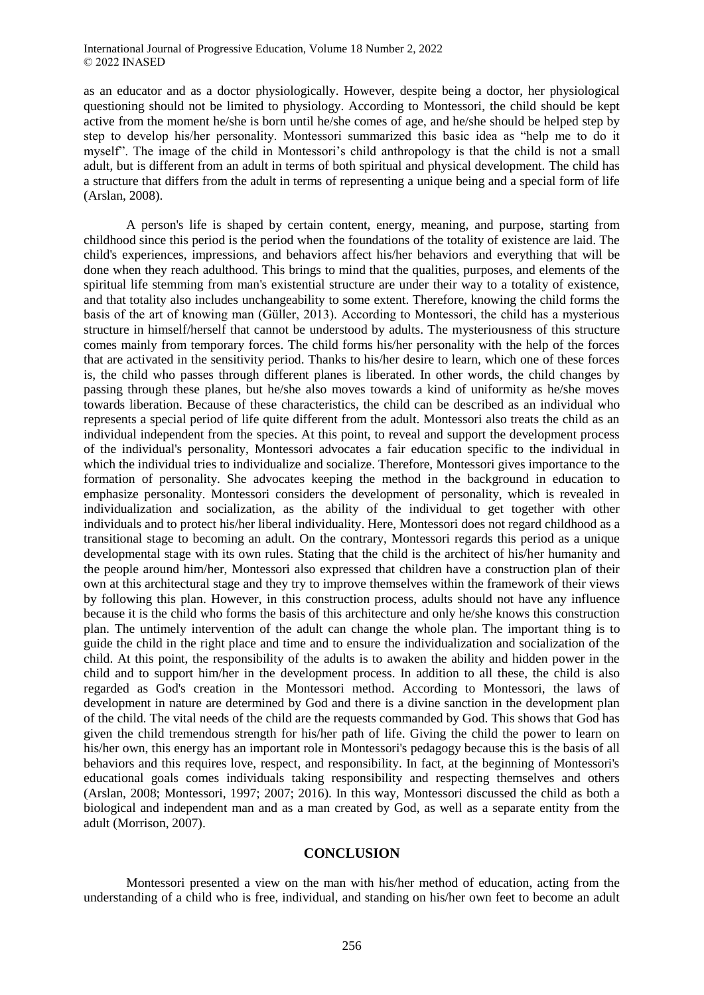as an educator and as a doctor physiologically. However, despite being a doctor, her physiological questioning should not be limited to physiology. According to Montessori, the child should be kept active from the moment he/she is born until he/she comes of age, and he/she should be helped step by step to develop his/her personality. Montessori summarized this basic idea as "help me to do it myself". The image of the child in Montessori's child anthropology is that the child is not a small adult, but is different from an adult in terms of both spiritual and physical development. The child has a structure that differs from the adult in terms of representing a unique being and a special form of life (Arslan, 2008).

A person's life is shaped by certain content, energy, meaning, and purpose, starting from childhood since this period is the period when the foundations of the totality of existence are laid. The child's experiences, impressions, and behaviors affect his/her behaviors and everything that will be done when they reach adulthood. This brings to mind that the qualities, purposes, and elements of the spiritual life stemming from man's existential structure are under their way to a totality of existence, and that totality also includes unchangeability to some extent. Therefore, knowing the child forms the basis of the art of knowing man (Güller, 2013). According to Montessori, the child has a mysterious structure in himself/herself that cannot be understood by adults. The mysteriousness of this structure comes mainly from temporary forces. The child forms his/her personality with the help of the forces that are activated in the sensitivity period. Thanks to his/her desire to learn, which one of these forces is, the child who passes through different planes is liberated. In other words, the child changes by passing through these planes, but he/she also moves towards a kind of uniformity as he/she moves towards liberation. Because of these characteristics, the child can be described as an individual who represents a special period of life quite different from the adult. Montessori also treats the child as an individual independent from the species. At this point, to reveal and support the development process of the individual's personality, Montessori advocates a fair education specific to the individual in which the individual tries to individualize and socialize. Therefore, Montessori gives importance to the formation of personality. She advocates keeping the method in the background in education to emphasize personality. Montessori considers the development of personality, which is revealed in individualization and socialization, as the ability of the individual to get together with other individuals and to protect his/her liberal individuality. Here, Montessori does not regard childhood as a transitional stage to becoming an adult. On the contrary, Montessori regards this period as a unique developmental stage with its own rules. Stating that the child is the architect of his/her humanity and the people around him/her, Montessori also expressed that children have a construction plan of their own at this architectural stage and they try to improve themselves within the framework of their views by following this plan. However, in this construction process, adults should not have any influence because it is the child who forms the basis of this architecture and only he/she knows this construction plan. The untimely intervention of the adult can change the whole plan. The important thing is to guide the child in the right place and time and to ensure the individualization and socialization of the child. At this point, the responsibility of the adults is to awaken the ability and hidden power in the child and to support him/her in the development process. In addition to all these, the child is also regarded as God's creation in the Montessori method. According to Montessori, the laws of development in nature are determined by God and there is a divine sanction in the development plan of the child. The vital needs of the child are the requests commanded by God. This shows that God has given the child tremendous strength for his/her path of life. Giving the child the power to learn on his/her own, this energy has an important role in Montessori's pedagogy because this is the basis of all behaviors and this requires love, respect, and responsibility. In fact, at the beginning of Montessori's educational goals comes individuals taking responsibility and respecting themselves and others (Arslan, 2008; Montessori, 1997; 2007; 2016). In this way, Montessori discussed the child as both a biological and independent man and as a man created by God, as well as a separate entity from the adult (Morrison, 2007).

### **CONCLUSION**

Montessori presented a view on the man with his/her method of education, acting from the understanding of a child who is free, individual, and standing on his/her own feet to become an adult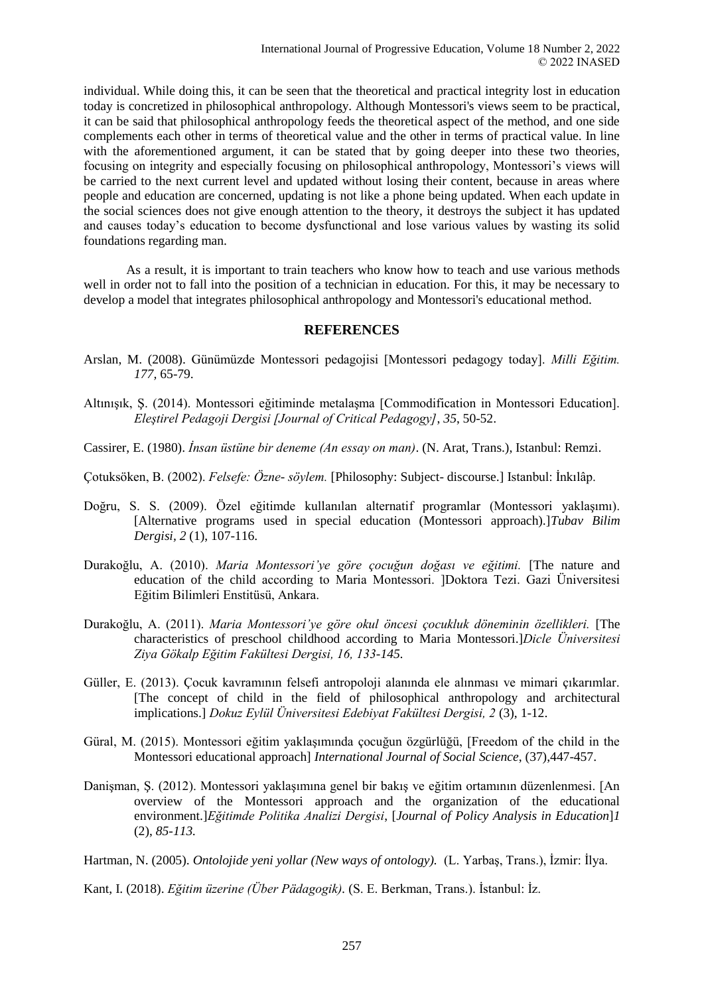individual. While doing this, it can be seen that the theoretical and practical integrity lost in education today is concretized in philosophical anthropology. Although Montessori's views seem to be practical, it can be said that philosophical anthropology feeds the theoretical aspect of the method, and one side complements each other in terms of theoretical value and the other in terms of practical value. In line with the aforementioned argument, it can be stated that by going deeper into these two theories, focusing on integrity and especially focusing on philosophical anthropology, Montessori's views will be carried to the next current level and updated without losing their content, because in areas where people and education are concerned, updating is not like a phone being updated. When each update in the social sciences does not give enough attention to the theory, it destroys the subject it has updated and causes today's education to become dysfunctional and lose various values by wasting its solid foundations regarding man.

As a result, it is important to train teachers who know how to teach and use various methods well in order not to fall into the position of a technician in education. For this, it may be necessary to develop a model that integrates philosophical anthropology and Montessori's educational method.

## **REFERENCES**

- Arslan, M. (2008). Günümüzde Montessori pedagojisi [Montessori pedagogy today]. *Milli Eğitim. 177,* 65-79.
- Altınışık, Ş. (2014). Montessori eğitiminde metalaşma [Commodification in Montessori Education]. *Eleştirel Pedagoji Dergisi [Journal of Critical Pedagogy]*, *35*, 50-52.
- Cassirer, E. (1980). *İnsan üstüne bir deneme (An essay on man)*. (N. Arat, Trans.), Istanbul: Remzi.
- Çotuksöken, B. (2002). *Felsefe: Özne- söylem.* [Philosophy: Subject- discourse.] Istanbul: İnkılâp.
- Doğru, S. S. (2009). Özel eğitimde kullanılan alternatif programlar (Montessori yaklaşımı). [Alternative programs used in special education (Montessori approach).]*Tubav Bilim Dergisi, 2* (1), 107-116.
- Durakoğlu, A. (2010). *Maria Montessori'ye göre çocuğun doğası ve eğitimi.* [The nature and education of the child according to Maria Montessori. ]Doktora Tezi. Gazi Üniversitesi Eğitim Bilimleri Enstitüsü, Ankara.
- Durakoğlu, A. (2011). *Maria Montessori'ye göre okul öncesi çocukluk döneminin özellikleri.* [The characteristics of preschool childhood according to Maria Montessori.]*Dicle Üniversitesi Ziya Gökalp Eğitim Fakültesi Dergisi, 16, 133-145.*
- Güller, E. (2013). Çocuk kavramının felsefi antropoloji alanında ele alınması ve mimari çıkarımlar. [The concept of child in the field of philosophical anthropology and architectural implications.] *Dokuz Eylül Üniversitesi Edebiyat Fakültesi Dergisi, 2* (3), 1-12.
- Güral, M. (2015). Montessori eğitim yaklaşımında çocuğun özgürlüğü, [Freedom of the child in the Montessori educational approach] *International Journal of Social Science*, (37),447-457.
- Danişman, Ş. (2012). Montessori yaklaşımına genel bir bakış ve eğitim ortamının düzenlenmesi. [An overview of the Montessori approach and the organization of the educational environment.]*Eğitimde Politika Analizi Dergisi*, [*Journal of Policy Analysis in Education*]*1*  (2), *85-113.*

Hartman, N. (2005). *Ontolojide yeni yollar (New ways of ontology).* (L. Yarbaş, Trans.), İzmir: İlya.

Kant, I. (2018). *Eğitim üzerine (Über Pädagogik).* (S. E. Berkman, Trans.). İstanbul: İz.